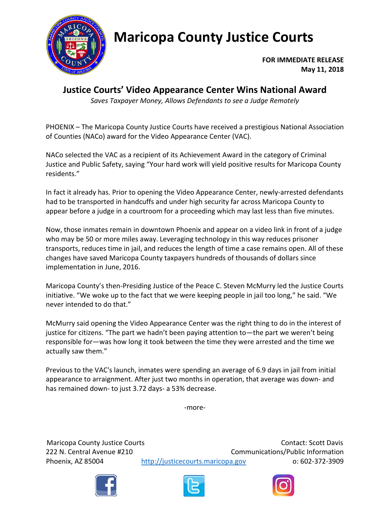

## **Maricopa County Justice Courts**

**FOR IMMEDIATE RELEASE May 11, 2018**

## **Justice Courts' Video Appearance Center Wins National Award**

*Saves Taxpayer Money, Allows Defendants to see a Judge Remotely*

PHOENIX – The Maricopa County Justice Courts have received a prestigious National Association of Counties (NACo) award for the Video Appearance Center (VAC).

NACo selected the VAC as a recipient of its Achievement Award in the category of Criminal Justice and Public Safety, saying "Your hard work will yield positive results for Maricopa County residents."

In fact it already has. Prior to opening the Video Appearance Center, newly-arrested defendants had to be transported in handcuffs and under high security far across Maricopa County to appear before a judge in a courtroom for a proceeding which may last less than five minutes.

Now, those inmates remain in downtown Phoenix and appear on a video link in front of a judge who may be 50 or more miles away. Leveraging technology in this way reduces prisoner transports, reduces time in jail, and reduces the length of time a case remains open. All of these changes have saved Maricopa County taxpayers hundreds of thousands of dollars since implementation in June, 2016.

Maricopa County's then-Presiding Justice of the Peace C. Steven McMurry led the Justice Courts initiative. "We woke up to the fact that we were keeping people in jail too long," he said. "We never intended to do that."

McMurry said opening the Video Appearance Center was the right thing to do in the interest of justice for citizens. "The part we hadn't been paying attention to—the part we weren't being responsible for—was how long it took between the time they were arrested and the time we actually saw them."

Previous to the VAC's launch, inmates were spending an average of 6.9 days in jail from initial appearance to arraignment. After just two months in operation, that average was down- and has remained down- to just 3.72 days- a 53% decrease.

-more-

Maricopa County Justice Courts **Contact: Scott Davis** Contact: Scott Davis 222 N. Central Avenue #210 Communications/Public Information Phoenix, AZ 85004 [http://justicecourts.maricopa.gov](http://justicecourts.maricopa.gov/) o: 602-372-3909